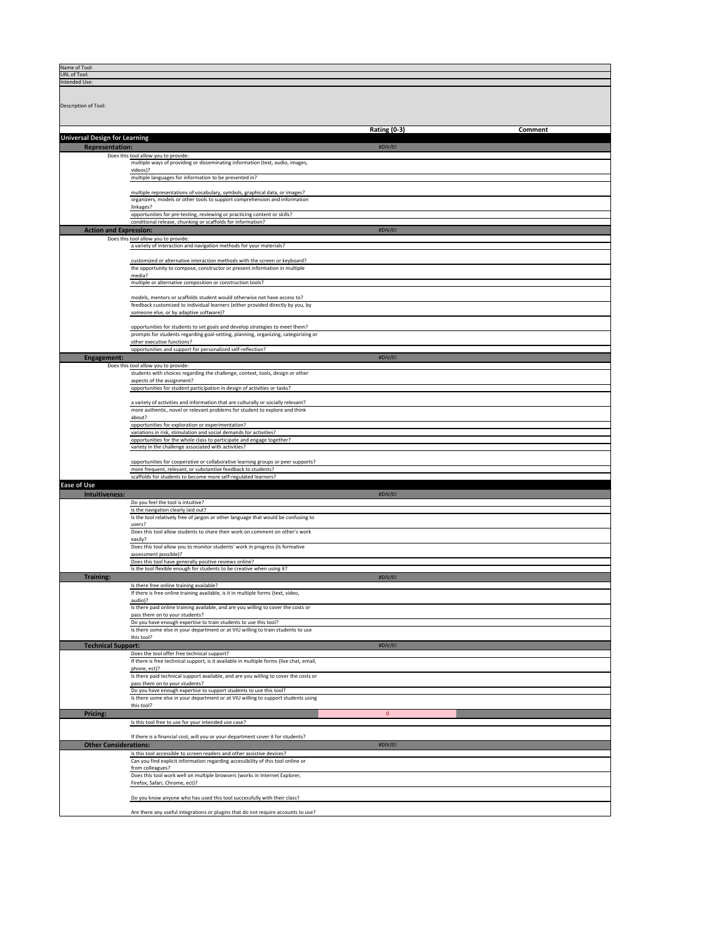| Name of Tool:<br>URL of Tool:        |                                                                                                                                                                  |                     |         |
|--------------------------------------|------------------------------------------------------------------------------------------------------------------------------------------------------------------|---------------------|---------|
| Intended Use:                        |                                                                                                                                                                  |                     |         |
|                                      |                                                                                                                                                                  |                     |         |
| Description of Tool:                 |                                                                                                                                                                  |                     |         |
|                                      |                                                                                                                                                                  |                     |         |
|                                      |                                                                                                                                                                  |                     |         |
| <b>Universal Design for Learning</b> |                                                                                                                                                                  | <b>Rating (0-3)</b> | Comment |
| <b>Representation:</b>               |                                                                                                                                                                  | #DIV/0!             |         |
|                                      | Does this tool allow you to provide:                                                                                                                             |                     |         |
|                                      | multiple ways of providing or disseminating information (text, audio, images,<br>videos)?                                                                        |                     |         |
|                                      | multiple languages for information to be presented in?                                                                                                           |                     |         |
|                                      | multiple representations of vocabulary, symbols, graphical data, or images?                                                                                      |                     |         |
|                                      | organizers, models or other tools to support comprehension and information                                                                                       |                     |         |
|                                      | linkages?<br>opportunities for pre-testing, reviewing or practicing content or skills?                                                                           |                     |         |
|                                      | conditional release, chunking or scaffolds for information?                                                                                                      |                     |         |
| <b>Action and Expression:</b>        | Does this tool allow you to provide:                                                                                                                             | #DIV/0!             |         |
|                                      | a variety of interaction and navigation methods for your materials?                                                                                              |                     |         |
|                                      | customized or alternative interaction methods with the screen or keyboard?                                                                                       |                     |         |
|                                      | the opportunity to compose, constructor or present information in multiple                                                                                       |                     |         |
|                                      | media?<br>multiple or alternative composition or construction tools?                                                                                             |                     |         |
|                                      |                                                                                                                                                                  |                     |         |
|                                      | models, mentors or scaffolds student would otherwise not have access to?<br>feedback customized to individual learners (either provided directly by you, by      |                     |         |
|                                      | someone else, or by adaptive software)?                                                                                                                          |                     |         |
|                                      | opportunities for students to set goals and develop strategies to meet them?                                                                                     |                     |         |
|                                      | prompts for students regarding goal-setting, planning, organizing, categorizing or<br>other executive functions?                                                 |                     |         |
|                                      | opportunities and support for personalized self-reflection?                                                                                                      |                     |         |
| <b>Engagement:</b>                   |                                                                                                                                                                  | $\#$ DIV/0!         |         |
|                                      | Does this tool allow you to provide:<br>students with choices regarding the challenge, context, tools, design or other                                           |                     |         |
|                                      | aspects of the assignment?                                                                                                                                       |                     |         |
|                                      | opportunities for student participation in design of activities or tasks?                                                                                        |                     |         |
|                                      | a variety of activities and information that are culturally or socially relevant?<br>more authentic, novel or relevant problems for student to explore and think |                     |         |
|                                      | about?                                                                                                                                                           |                     |         |
|                                      | opportunities for exploration or experimentation?<br>variations in risk, stimulation and social demands for activities?                                          |                     |         |
|                                      | opportunities for the whole class to participate and engage together?                                                                                            |                     |         |
|                                      | variety in the challenge associated with activities?                                                                                                             |                     |         |
|                                      | opportunities for cooperative or collaborative learning groups or peer supports?<br>more frequent, relevant, or substantive feedback to students?                |                     |         |
|                                      | scaffolds for students to become more self-regulated learners?                                                                                                   |                     |         |
| <b>Ease of Use</b>                   |                                                                                                                                                                  |                     |         |
| Intuitiveness:                       | Do you feel the tool is intuitive?                                                                                                                               | #DIV/0!             |         |
|                                      | Is the navigation clearly laid out?                                                                                                                              |                     |         |
|                                      | Is the tool relatively free of jargon or other language that would be confusing to<br>users?                                                                     |                     |         |
|                                      | Does this tool allow students to share their work on comment on other's work                                                                                     |                     |         |
|                                      | easily?<br>Does this tool allow you to monitor students' work in progress (Is formative                                                                          |                     |         |
|                                      | assessment possible)?<br>Does this tool have generally positive reviews online?                                                                                  |                     |         |
|                                      | Is the tool flexible enough for students to be creative when using it?                                                                                           |                     |         |
| <b>Training:</b>                     |                                                                                                                                                                  | #DIV/0!             |         |
|                                      | Is there free online training available?<br>If there is free online training available, is it in multiple forms (text, video,                                    |                     |         |
|                                      | audio)?<br>Is there paid online training available, and are you willing to cover the costs or                                                                    |                     |         |
|                                      | pass them on to your students?                                                                                                                                   |                     |         |
|                                      | Do you have enough expertise to train students to use this tool?<br>Is there some else in your department or at VIU willing to train students to use             |                     |         |
|                                      | this tool?                                                                                                                                                       |                     |         |
| <b>Technical Support:</b>            | Does the tool offer free technical support?                                                                                                                      | #DIV/0!             |         |
|                                      | If there is free technical support, is it available in multiple forms (live chat, email,                                                                         |                     |         |
|                                      | phone, ect)?<br>Is there paid technical support available, and are you willing to cover the costs or                                                             |                     |         |
|                                      | pass them on to your students?                                                                                                                                   |                     |         |
|                                      | Do you have enough expertise to support students to use this tool?<br>Is there some else in your department or at VIU willing to support students using          |                     |         |
|                                      | this tool?                                                                                                                                                       |                     |         |
| <b>Pricing:</b>                      | Is this tool free to use for your intended use case?                                                                                                             | $\overline{0}$      |         |
|                                      |                                                                                                                                                                  |                     |         |
| <b>Other Considerations:</b>         | If there is a financial cost, will you or your department cover it for students?                                                                                 | #DIV/0!             |         |
|                                      | Is this tool accessible to screen readers and other assistive devices?                                                                                           |                     |         |
|                                      | Can you find explicit information regarding accessibility of this tool online or<br>from colleagues?                                                             |                     |         |
|                                      | Does this tool work well on multiple browsers (works in Internet Explorer,                                                                                       |                     |         |
|                                      | Firefox, Safari, Chrome, ect)?                                                                                                                                   |                     |         |
|                                      | Do you know anyone who has used this tool successfully with their class?                                                                                         |                     |         |
|                                      |                                                                                                                                                                  |                     |         |